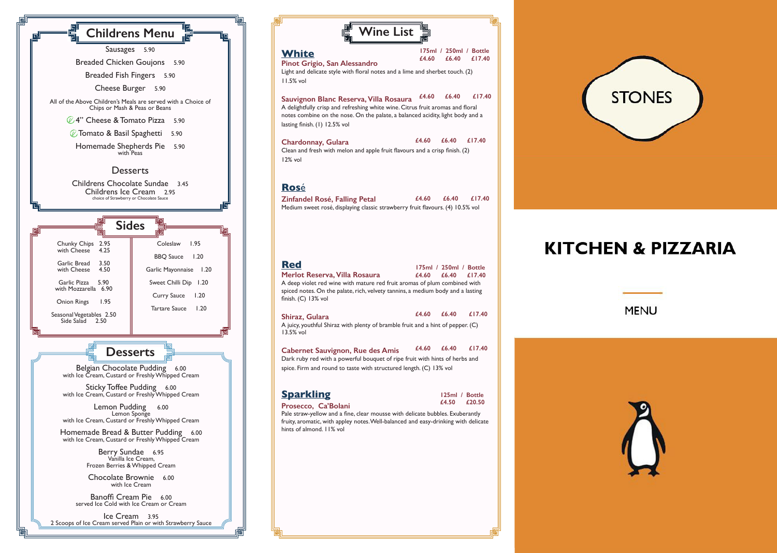

| <b>Wine List</b>                                                                                                                                                                                                                            |                                                    |
|---------------------------------------------------------------------------------------------------------------------------------------------------------------------------------------------------------------------------------------------|----------------------------------------------------|
| <b>White</b><br>Pinot Grigio, San Alessandro<br>Light and delicate style with floral notes and a lime and sherbet touch. (2)<br>$11.5%$ vol                                                                                                 | 175ml / 250ml / Bottle<br>£17.40<br>f4.60<br>£6.40 |
| Sauvignon Blanc Reserva, Villa Rosaura<br>A delightfully crisp and refreshing white wine. Citrus fruit aromas and floral<br>notes combine on the nose. On the palate, a balanced acidity, light body and a<br>lasting finish. (1) 12.5% vol | £4.60<br>£6.40<br>£17.40                           |
| Chardonnay, Gulara<br>Clean and fresh with melon and apple fruit flavours and a crisp finish. (2)<br>12% vol                                                                                                                                | £4.60<br>£6.40<br>£17.40                           |
| <b>Rosé</b><br><b>Zinfandel Rosé, Falling Petal</b><br>Medium sweet rosé, displaying classic strawberry fruit flavours. (4) 10.5% vol                                                                                                       | £4.60<br>£6.40<br>£17.40                           |
| <b>Red</b><br>Merlot Reserva, Villa Rosaura<br>A deep violet red wine with mature red fruit aromas of plum combined with<br>spiced notes. On the palate, rich, velvety tannins, a medium body and a lasting<br>finish. $(C)$ 13% vol        | 175ml / 250ml / Bottle<br>f6.40<br>£4.60<br>£17.40 |
| Shiraz, Gulara<br>A juicy, youthful Shiraz with plenty of bramble fruit and a hint of pepper. (C)                                                                                                                                           | £4.60<br>£6.40<br>£17.40                           |
| 13.5% vol                                                                                                                                                                                                                                   |                                                    |
| <b>Cabernet Sauvignon, Rue des Amis</b><br>Dark ruby red with a powerful bouquet of ripe fruit with hints of herbs and<br>spice. Firm and round to taste with structured length. (C) 13% vol                                                | £4.60<br>£6.40<br>£17.40                           |

## **KITCHEN & PIZZARIA**



**MENU**